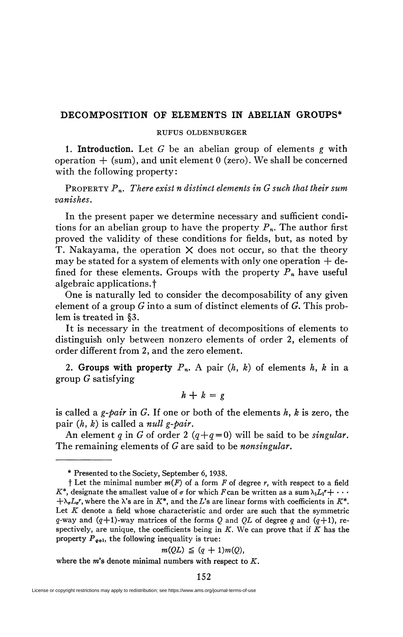# **DECOMPOSITION OF ELEMENTS IN ABELIAN GROUPS\***

#### RUFUS OLDENBURGER

1. Introduction. Let *G* be an abelian group of elements *g* with operation  $+$  (sum), and unit element 0 (zero). We shall be concerned with the following property:

PROPERTY *Pn. There exist n distinct elements in G such that their sum vanishes.* 

In the present paper we determine necessary and sufficient conditions for an abelian group to have the property  $P_n$ . The author first proved the validity of these conditions for fields, but, as noted by T. Nakayama, the operation  $X$  does not occur, so that the theory may be stated for a system of elements with only one operation  $+$  defined for these elements. Groups with the property  $P_n$  have useful algebraic applications.<sup>†</sup>

One is naturally led to consider the decomposability of any given element of a group *G* into a sum of distinct elements of *G.* This problem is treated in §3.

It is necessary in the treatment of decompositions of elements to distinguish only between nonzero elements of order 2, elements of order different from 2, and the zero element.

2. Groups with property  $P_n$ . A pair  $(h, k)$  of elements  $h, k$  in a group *G* satisfying

$$
h + k = g
$$

is called a *g-pair* in *G.* If one or both of the elements *h, k* is zero, the pair *(h, k)* is called a *null g-pair.* 

An element *q* in *G* of order 2  $(q+q=0)$  will be said to be *singular*. The remaining elements of *G are* said to be *nonsingular.* 

$$
m(QL) \leq (q+1)m(Q),
$$

where the *m's* denote minimal numbers with respect to *K.* 

<sup>\*</sup> Presented to the Society, September 6, 1938.

t Let the minimal number *m(F)* of a form *F* of degree *r,* with respect to a field  $K^*$ , designate the smallest value of  $\sigma$  for which *F* can be written as a sum  $\lambda_1 L_1 r + \cdots$  $+\lambda_{\sigma}L_{\sigma}r$ , where the  $\lambda$ 's are in  $K^*$ , and the *L*'s are linear forms with coefficients in  $K^*$ . Let *K* denote a field whose characteristic and order are such that the symmetric *q*-way and  $(q+1)$ -way matrices of the forms *Q* and *QL* of degree *q* and  $(q+1)$ , respectively, are unique, the coefficients being in *K.* We can prove that if *K* has the property  $P_{q+1}$ , the following inequality is true: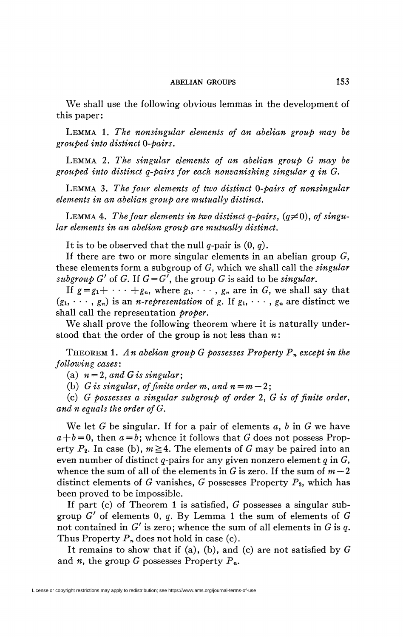### **ABELIAN GROUPS** 153

We shall use the following obvious lemmas in the development of this paper:

LEMMA 1. *The nonsingular elements of an abelian group may be grouped into distinct 0-pairs.* 

LEMMA *2. The singular elements of an abelian group G may be grouped into distinct q-pairs for each nonvanishing singular q in G.* 

LEMMA 3. *The four elements of two distinct 0-pairs of nonsingular elements in an abelian group are mutually distinct.* 

LEMMA 4. The four elements in two distinct  $q$ -pairs,  $(q\neq 0)$ , of singu*lar elements in an abelian group are mutually distinct.* 

It is to be observed that the null g-pair is (0, *q).* 

If there are two or more singular elements in an abelian group  $G$ , these elements form a subgroup of G, which we shall call the *singular subgroup*  $G'$  of  $G$ . If  $G = G'$ , the group  $G$  is said to be *singular*.

If  $g = g_1 + \cdots + g_n$ , where  $g_1, \cdots, g_n$  are in G, we shall say that  $(g_1, \dots, g_n)$  is an *n-representation* of *g*. If  $g_1, \dots, g_n$  are distinct we shall call the representation *proper.* 

We shall prove the following theorem where it is naturally understood that the order of the group is not less than *n* :

THEOREM 1. *An abelian group G possesses Property Pn except in the following cases:* 

(a)  $n = 2$ , and G is singular:

(b)  $G$  is singular, of finite order m, and  $n = m - 2$ ;

(c) *G possesses a singular subgroup of order* 2, *G is of finite order, and n equals the order ofG.* 

We let *G* be singular. If for a pair of elements *a, b 'm G* we have  $a + b = 0$ , then  $a = b$ ; whence it follows that *G* does not possess Property  $P_2$ . In case (b),  $m \ge 4$ . The elements of *G* may be paired into an even number of distinct g-pairs for any given nonzero element *q* in G, whence the sum of all of the elements in G is zero. If the sum of  $m-2$ distinct elements of G vanishes, G possesses Property  $P_2$ , which has been proved to be impossible.

If part (c) of Theorem 1 is satisfied,  $G$  possesses a singular subgroup G' of elements 0, *q.* By Lemma 1 the sum of elements of G not contained in *G'* is zero; whence the sum of all elements in G is *q.*  Thus Property *Pn* does not hold in case (c).

It remains to show that if (a), (b), and (c) are not satisfied by  $G$ and *n,* the group G possesses Property *Pn.*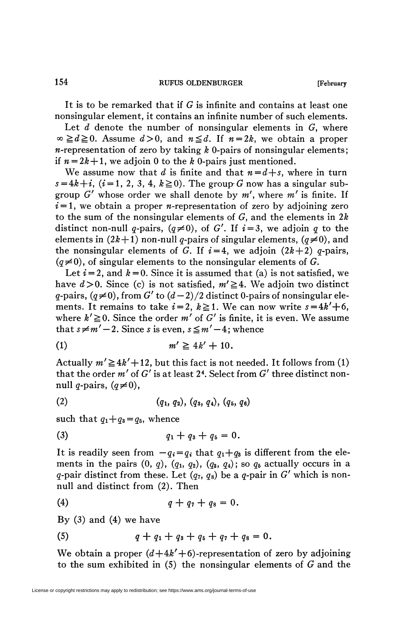It is to be remarked that if G is infinite and contains at least one nonsingular element, it contains an infinite number of such elements.

Let *d* denote the number of nonsingular elements in *G*, where  $\infty \geq d \geq 0$ . Assume  $d > 0$ , and  $n \leq d$ . If  $n = 2k$ , we obtain a proper *-representation of zero by taking*  $*k*$  *0-pairs of nonsingular elements;* if  $n = 2k + 1$ , we adjoin 0 to the *k* 0-pairs just mentioned.

We assume now that  $d$  is finite and that  $n = d + s$ , where in turn  $s = 4k + i$ ,  $(i = 1, 2, 3, 4, k \ge 0)$ . The group G now has a singular subgroup *G'* whose order we shall denote by m', where *m'* is finite. If  $i = 1$ , we obtain a proper *n*-representation of zero by adjoining zero to the sum of the nonsingular elements of G, and the elements in *2k*  distinct non-null q-pairs,  $(q\neq 0)$ , of G'. If  $i = 3$ , we adjoin q to the elements in  $(2k+1)$  non-null q-pairs of singular elements,  $(q\neq 0)$ , and the nonsingular elements of G. If  $i=4$ , we adjoin  $(2k+2)$  q-pairs,  $(q\neq 0)$ , of singular elements to the nonsingular elements of G.

Let  $i = 2$ , and  $k = 0$ . Since it is assumed that (a) is not satisfied, we have  $d > 0$ . Since (c) is not satisfied,  $m' \geq 4$ . We adjoin two distinct g-pairs,  $(q\neq 0)$ , from G' to  $(d-2)/2$  distinct 0-pairs of nonsingular elements. It remains to take  $i = 2$ ,  $k \ge 1$ . We can now write  $s = 4k' + 6$ , where  $k' \ge 0$ . Since the order m' of G' is finite, it is even. We assume that  $s \neq m' - 2$ . Since s is even,  $s \leq m' - 4$ ; whence

$$
(1) \t\t\t m' \geq 4k' + 10.
$$

Actually  $m' \ge 4k' + 12$ , but this fact is not needed. It follows from (1) that the order *m'* of *G'* is at least 2<sup>4</sup> . Select from *G'* three distinct nonnull *q*-pairs,  $(q\neq 0)$ ,

$$
(2) \qquad (q_1, q_2), (q_3, q_4), (q_5, q_6)
$$

such that  $q_1+q_3=q_5$ , whence

$$
(3) \t\t q_1 + q_3 + q_5 = 0.
$$

It is readily seen from  $-q_i = q_i$  that  $q_1 + q_3$  is different from the elements in the pairs  $(0, q)$ ,  $(q_1, q_2)$ ,  $(q_3, q_4)$ ; so  $q_5$  actually occurs in a q-pair distinct from these. Let  $(q_7, q_8)$  be a q-pair in  $G'$  which is nonnull and distinct from (2). Then

(4) 
$$
q + q_7 + q_8 = 0.
$$

By  $(3)$  and  $(4)$  we have

(5) 
$$
q + q_1 + q_3 + q_5 + q_7 + q_8 = 0.
$$

We obtain a proper  $(d+4k'+6)$ -representation of zero by adjoining to the sum exhibited in  $(5)$  the nonsingular elements of G and the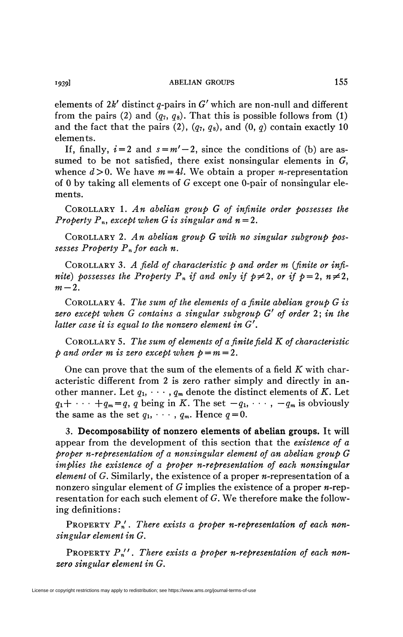elements of  $2k'$  distinct  $q$ -pairs in  $G'$  which are non-null and different from the pairs (2) and  $(q_7, q_8)$ . That this is possible follows from (1) and the fact that the pairs  $(2)$ ,  $(q_7, q_8)$ , and  $(0, q)$  contain exactly 10 elements.

If, finally,  $i = 2$  and  $s = m' - 2$ , since the conditions of (b) are assumed to be not satisfied, there exist nonsingular elements in *G}*  whence  $d > 0$ . We have  $m = 4l$ . We obtain a proper *n*-representation of 0 by taking all elements of *G* except one 0-pair of nonsingular elements.

COROLLARY 1. *An abelian group G of infinite order possesses the Property P<sub>n</sub>, except when G is singular and*  $n = 2$ *.* 

COROLLARY 2. *An abelian group G with no singular subgroup possesses Property Pnfor each n.* 

COROLLARY 3. *A field of characteristic p and order m {finite or infinite)* possesses the Property  $P_n$  if and only if  $p \neq 2$ , or if  $p = 2$ ,  $n \neq 2$ ,  $m-2$ .

COROLLARY 4. *The sum of the elements of a finite abelian group G is zero except when G contains a singular subgroup G' of order 2* ; *in the latter case it is equal to the nonzero element in G'.* 

COROLLARY 5. *The sum of elements of a finite field K of characteristic and order <i>m* is zero except when  $p = m = 2$ .

One can prove that the sum of the elements of a field *K* with characteristic different from 2 is zero rather simply and directly in another manner. Let  $q_1, \dots, q_m$  denote the distinct elements of K. Let  $q_1 + \cdots + q_m = q$ , q being in *K*. The set  $-q_1, \cdots, -q_m$  is obviously the same as the set  $q_1, \dots, q_m$ . Hence  $q = 0$ .

3. **Decomposability of nonzero elements of abelian groups.** It **will**  appear from the development of this section that the *existence of a proper n-representation of a nonsingular element of an abelian group G implies the existence of a proper n-representation of each nonsingular element* of *G*. Similarly, the existence of a proper *n*-representation of a nonzero singular element of *G* implies the existence of a proper *n-rep*resentation for each such element of G. We therefore make the following definitions :

PROPERTY P<sub>n</sub>'. There exists a proper n-representation of each non*singular element in G.* 

PROPERTY  $P_n''$ . There exists a proper n-representation of each non*zero singular element in G.*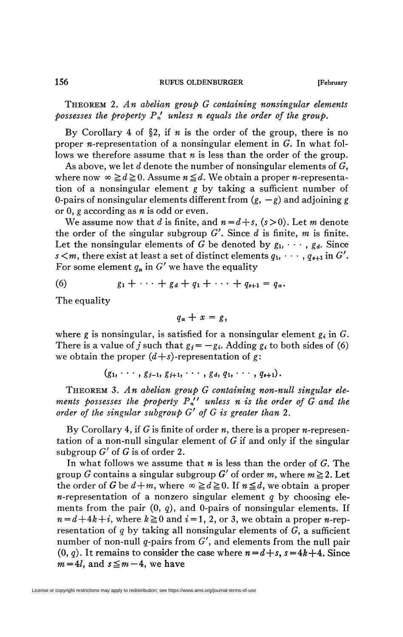THEOREM 2. *An abelian group G containing nonsingular elements possesses the property Pn' unless n equals the order of the group.* 

By Corollary 4 of §2, if *n* is the order of the group, there is no proper *n*-representation of a nonsingular element in  $G$ . In what follows we therefore assume that *n* is less than the order of the group.

As above, we let *d* denote the number of nonsingular elements of G, where now  $\infty \geq d \geq 0$ . Assume  $n \leq d$ . We obtain a proper *n*-representation of a nonsingular element *g* by taking a sufficient number of 0-pairs of nonsingular elements different from  $(g, -g)$  and adjoining g or 0, *g* according as *n* is odd or even.

We assume now that *d* is finite, and  $n = d + s$ ,  $(s > 0)$ . Let *m* denote the order of the singular subgroup  $G'$ . Since  $d$  is finite,  $m$  is finite. Let the nonsingular elements of G be denoted by  $g_1, \dots, g_d$ . Since  $s < m$ , there exist at least a set of distinct elements  $q_1, \dots, q_{s+1}$  in  $G'$ . For some element  $q_{\alpha}$  in  $G'$  we have the equality

(6) 
$$
g_1 + \cdots + g_d + q_1 + \cdots + q_{s+1} = q_\alpha
$$
.

The equality

$$
q_{\alpha}+x=g,
$$

where g is nonsingular, is satisfied for a nonsingular element  $g_i$  in  $G$ . There is a value of *j* such that  $g_i = -g_i$ . Adding  $g_i$  to both sides of (6) we obtain the proper  $(d+s)$ -representation of g:

$$
(g_1, \cdots, g_{j-1}, g_{j+1}, \cdots, g_d, q_1, \cdots, q_{s+1}).
$$

THEOREM 3. *An abelian group G containing non-null singular elements possesses the property Pn" unless n is the order of G and the order of the singular subgroup G' of G is greater than* 2.

By Corollary 4, if G is finite of order *n,* there is a proper w-representation of a non-null singular element of  $G$  if and only if the singular subgroup  $G'$  of  $G$  is of order 2.

In what follows we assume that *n* is less than the order of G. The group G contains a singular subgroup G' of order m, where  $m \ge 2$ . Let the order of G be  $d+m$ , where  $\infty \geq d \geq 0$ . If  $n \leq d$ , we obtain a proper *-representation of a nonzero singular element*  $*q*$  *by choosing ele*ments from the pair  $(0, q)$ , and 0-pairs of nonsingular elements. If  $n = d + 4k + i$ , where  $k \ge 0$  and  $i = 1, 2$ , or 3, we obtain a proper *n*-representation of *q* by taking all nonsingular elements of G, a sufficient number of non-null q-pairs from  $G'$ , and elements from the null pair  $(0, q)$ . It remains to consider the case where  $n = d+s$ ,  $s = 4k+4$ . Since  $m=4l$ , and  $s \leq m-4$ , we have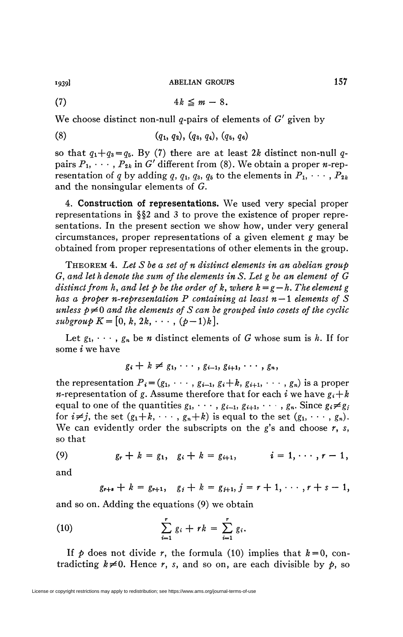*miï* **ABELIAN GROUPS** 157

$$
(7) \t\t\t\t 4k \leq m-8.
$$

We choose distinct non-null g-pairs of elements of *G'* given by

$$
(8) \qquad (q_1, q_2), (q_3, q_4), (q_5, q_6)
$$

so that  $q_1+q_3 = q_5$ . By (7) there are at least 2k distinct non-null qpairs  $P_1, \dots, P_{2k}$  in G' different from (8). We obtain a proper *n*-representation of q by adding q,  $q_1$ ,  $q_3$ ,  $q_5$  to the elements in  $P_1$ ,  $\cdots$ ,  $P_{2k}$ and the nonsingular elements of *G.* 

4. Construction of representations. We used very special proper representations in §§2 and 3 to prove the existence of proper representations. In the present section we show how, under very general circumstances, proper representations of a given element *g* may be obtained from proper representations of other elements in the group.

THEOREM 4. *Let S be a set of n distinct elements in an abelian group G, and let h denote the sum of the elements in S. Let g be an element of G distinct from h, and let p be the order of k, where*  $k = g - h$ *. The element g has a proper n-representation P containing at least n — 1 elements of S unless*  $p \neq 0$  *and the elements of S can be grouped into cosets of the cyclic*  $subgroup K=[0, k, 2k, \cdots, (p-1)k].$ 

Let  $g_1, \dots, g_n$  be *n* distinct elements of *G* whose sum is *h*. If for some *i* we have

$$
g_i + k \neq g_1, \cdots, g_{i-1}, g_{i+1}, \cdots, g_n,
$$

the representation  $P_i = (g_1, \cdots, g_{i-1}, g_i+k, g_{i+1}, \cdots, g_n)$  is a proper *n*-representation of g. Assume therefore that for each *i* we have  $g_i+k$ equal to one of the quantities  $g_1, \dots, g_{i-1}, g_{i+1}, \dots, g_n$ . Since  $g_i \neq g_j$ for  $i \neq j$ , the set  $(g_1+k, \dots, g_n+k)$  is equal to the set  $(g_1, \dots, g_n)$ . We can evidently order the subscripts on the *g's* and choose *r, s,*  so that

(9) 
$$
g_r + k = g_1, \quad g_i + k = g_{i+1}, \quad i = 1, \cdots, r-1,
$$

and

$$
g_{r+s}+k=g_{r+1},\quad g_j+k=g_{j+1},\,j=r+1,\cdots,r+s-1,
$$

and so on. Adding the equations (9) we obtain

(10) 
$$
\sum_{i=1}^r g_i + rk = \sum_{i=1}^r g_i.
$$

If  $p$  does not divide r, the formula (10) implies that  $k=0$ , contradicting  $k \neq 0$ . Hence *r*, *s*, and so on, are each divisible by *p*, so